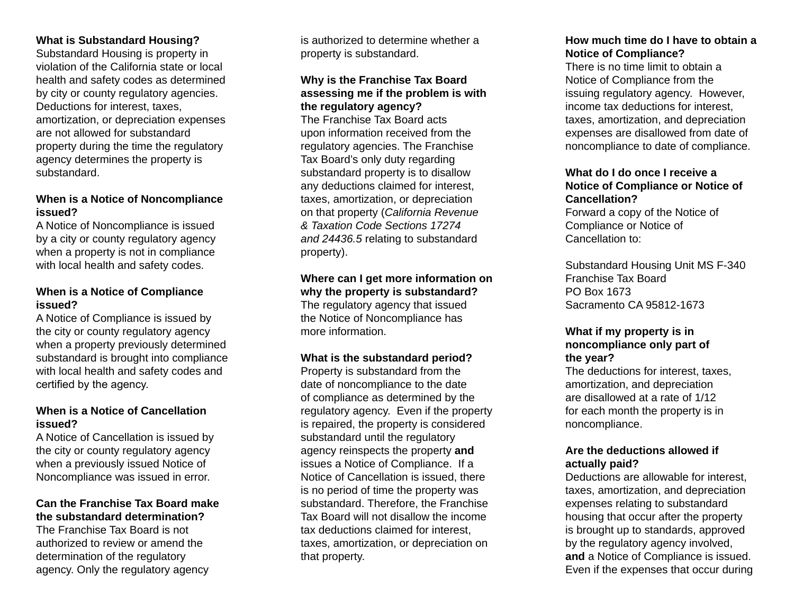## **What is Substandard Housing?**

Substandard Housing is property in violation of the California state or local health and safety codes as determined by city or county regulatory agencies. Deductions for interest, taxes, amortization, or depreciation expenses are not allowed for substandard property during the time the regulatory agency determines the property is substandard.

#### **When is a Notice of Noncompliance issued?**

A Notice of Noncompliance is issued by a city or county regulatory agency when a property is not in compliance with local health and safety codes.

#### **When is a Notice of Compliance issued?**

A Notice of Compliance is issued by the city or county regulatory agency when a property previously determined substandard is brought into compliance with local health and safety codes and certified by the agency.

## **When is a Notice of Cancellation issued?**

A Notice of Cancellation is issued by the city or county regulatory agency when a previously issued Notice of Noncompliance was issued in error.

## **Can the Franchise Tax Board make the substandard determination?**

The Franchise Tax Board is not authorized to review or amend the determination of the regulatory agency. Only the regulatory agency

is authorized to determine whether a property is substandard.

## **Why is the Franchise Tax Board assessing me if the problem is with the regulatory agency?**

The Franchise Tax Board acts upon information received from the regulatory agencies. The Franchise Tax Board's only duty regarding substandard property is to disallow any deductions claimed for interest, taxes, amortization, or depreciation on that property (*California Revenue & Taxation Code Sections 17274 and 24436.5* relating to substandard property).

#### **Where can I get more information on why the property is substandard?**

The regulatory agency that issued the Notice of Noncompliance has more information.

#### **What is the substandard period?**

Property is substandard from the date of noncompliance to the date of compliance as determined by the regulatory agency. Even if the property is repaired, the property is considered substandard until the regulatory agency reinspects the property **and** issues a Notice of Compliance. If a Notice of Cancellation is issued, there is no period of time the property was substandard. Therefore, the Franchise Tax Board will not disallow the income tax deductions claimed for interest, taxes, amortization, or depreciation on that property.

## **How much time do I have to obtain a Notice of Compliance?**

There is no time limit to obtain a Notice of Compliance from the issuing regulatory agency. However, income tax deductions for interest, taxes, amortization, and depreciation expenses are disallowed from date of noncompliance to date of compliance.

### **What do I do once I receive a Notice of Compliance or Notice of Cancellation?**

Forward a copy of the Notice of Compliance or Notice of Cancellation to:

Substandard Housing Unit MS F-340 Franchise Tax Board PO Box 1673 Sacramento CA 95812-1673

## **What if my property is in noncompliance only part of the year?**

The deductions for interest, taxes, amortization, and depreciation are disallowed at a rate of 1/12 for each month the property is in noncompliance.

## **Are the deductions allowed if actually paid?**

Deductions are allowable for interest, taxes, amortization, and depreciation expenses relating to substandard housing that occur after the property is brought up to standards, approved by the regulatory agency involved, **and** a Notice of Compliance is issued. Even if the expenses that occur during